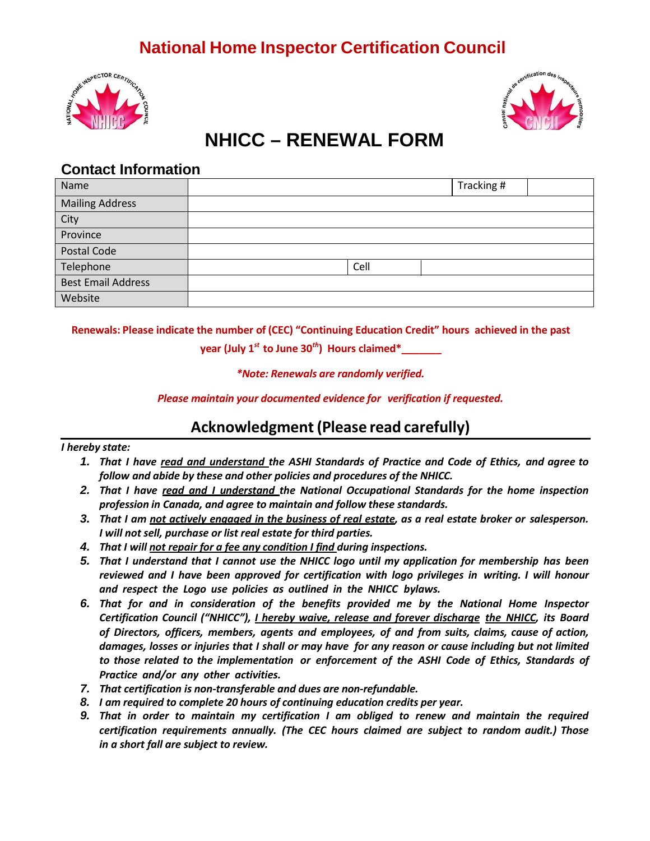# **National Home Inspector Certification Council**





# **NHICC – RENEWAL FORM**

#### **Contact Information**

| Name                      |      | Tracking # |  |
|---------------------------|------|------------|--|
| <b>Mailing Address</b>    |      |            |  |
| City                      |      |            |  |
| Province                  |      |            |  |
| Postal Code               |      |            |  |
| Telephone                 | Cell |            |  |
| <b>Best Email Address</b> |      |            |  |
| Website                   |      |            |  |

**Renewals: Please indicate the number of (CEC) "Continuing Education Credit" hours achieved in the past**

**year (July 1***st* **to June 30***th***) Hours claimed\*\_\_\_\_\_\_\_**

*\*Note: Renewals are randomly verified.*

*Please maintain your documented evidence for verification if requested.*

### **Acknowledgment (Please read carefully)**

#### *I hereby state:*

- 1. That I have read and understand the ASHI Standards of Practice and Code of Ethics, and agree to *follow and abide by these and other policies and procedures of the NHICC.*
- *2. That I have read and I understand the National Occupational Standards for the home inspection profession in Canada, and agree to maintain and follow these standards.*
- 3. That I am not actively engaged in the business of real estate, as a real estate broker or salesperson. *I will not sell, purchase or list real estate for third parties.*
- *4. That I will not repair for a fee any condition I find during inspections.*
- *5. That I understand that I cannot use the NHICC logo until my application for membership has been reviewed and I have been approved for certification with logo privileges in writing. I will honour and respect the Logo use policies as outlined in the NHICC bylaws.*
- *6. That for and in consideration of the benefits provided me by the National Home Inspector Certification Council ("NHICC"), I hereby waive, release and forever discharge the NHICC, its Board of Directors, officers, members, agents and employees, of and from suits, claims, cause of action,* damages, losses or injuries that I shall or may have for any reason or cause including but not limited *to those related to the implementation or enforcement of the ASHI Code of Ethics, Standards of Practice and/or any other activities.*
- *7. That certification is non-transferable and dues are non-refundable.*
- *8. I am required to complete 20 hours of continuing education credits per year.*
- *9. That in order to maintain my certification I am obliged to renew and maintain the required certification requirements annually. (The CEC hours claimed are subject to random audit.) Those in a short fall are subject to review.*